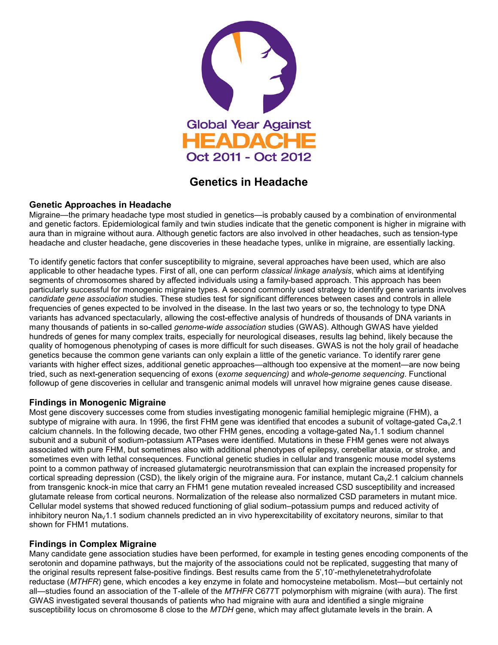

# **Genetics in Headache**

## **Genetic Approaches in Headache**

Migraine—the primary headache type most studied in genetics—is probably caused by a combination of environmental and genetic factors. Epidemiological family and twin studies indicate that the genetic component is higher in migraine with aura than in migraine without aura. Although genetic factors are also involved in other headaches, such as tension-type headache and cluster headache, gene discoveries in these headache types, unlike in migraine, are essentially lacking.

To identify genetic factors that confer susceptibility to migraine, several approaches have been used, which are also applicable to other headache types. First of all, one can perform *classical linkage analysis*, which aims at identifying segments of chromosomes shared by affected individuals using a family-based approach. This approach has been particularly successful for monogenic migraine types. A second commonly used strategy to identify gene variants involves *candidate gene association* studies. These studies test for significant differences between cases and controls in allele frequencies of genes expected to be involved in the disease. In the last two years or so, the technology to type DNA variants has advanced spectacularly, allowing the cost-effective analysis of hundreds of thousands of DNA variants in many thousands of patients in so-called *genome-wide association* studies (GWAS). Although GWAS have yielded hundreds of genes for many complex traits, especially for neurological diseases, results lag behind, likely because the quality of homogenous phenotyping of cases is more difficult for such diseases. GWAS is not the holy grail of headache genetics because the common gene variants can only explain a little of the genetic variance. To identify rarer gene variants with higher effect sizes, additional genetic approaches—although too expensive at the moment—are now being tried, such as next-generation sequencing of exons (*exome sequencing)* and *whole-genome sequencing*. Functional followup of gene discoveries in cellular and transgenic animal models will unravel how migraine genes cause disease.

## **Findings in Monogenic Migraine**

Most gene discovery successes come from studies investigating monogenic familial hemiplegic migraine (FHM), a subtype of migraine with aura. In 1996, the first FHM gene was identified that encodes a subunit of voltage-gated Ca $_2$ 2.1 calcium channels. In the following decade, two other FHM genes, encoding a voltage-gated Na<sub>V</sub>1.1 sodium channel subunit and a subunit of sodium-potassium ATPases were identified. Mutations in these FHM genes were not always associated with pure FHM, but sometimes also with additional phenotypes of epilepsy, cerebellar ataxia, or stroke, and sometimes even with lethal consequences. Functional genetic studies in cellular and transgenic mouse model systems point to a common pathway of increased glutamatergic neurotransmission that can explain the increased propensity for cortical spreading depression (CSD), the likely origin of the migraine aura. For instance, mutant  $Ca<sub>v</sub>2.1$  calcium channels from transgenic knock-in mice that carry an FHM1 gene mutation revealed increased CSD susceptibility and increased glutamate release from cortical neurons. Normalization of the release also normalized CSD parameters in mutant mice. Cellular model systems that showed reduced functioning of glial sodium–potassium pumps and reduced activity of inhibitory neuron Na<sub>V</sub>1.1 sodium channels predicted an in vivo hyperexcitability of excitatory neurons, similar to that shown for FHM1 mutations.

#### **Findings in Complex Migraine**

Many candidate gene association studies have been performed, for example in testing genes encoding components of the serotonin and dopamine pathways, but the majority of the associations could not be replicated, suggesting that many of the original results represent false-positive findings. Best results came from the 5',10'-methylenetetrahydrofolate reductase (*MTHFR*) gene, which encodes a key enzyme in folate and homocysteine metabolism. Most—but certainly not all—studies found an association of the T-allele of the *MTHFR* C677T polymorphism with migraine (with aura). The first GWAS investigated several thousands of patients who had migraine with aura and identified a single migraine susceptibility locus on chromosome 8 close to the *MTDH* gene, which may affect glutamate levels in the brain. A